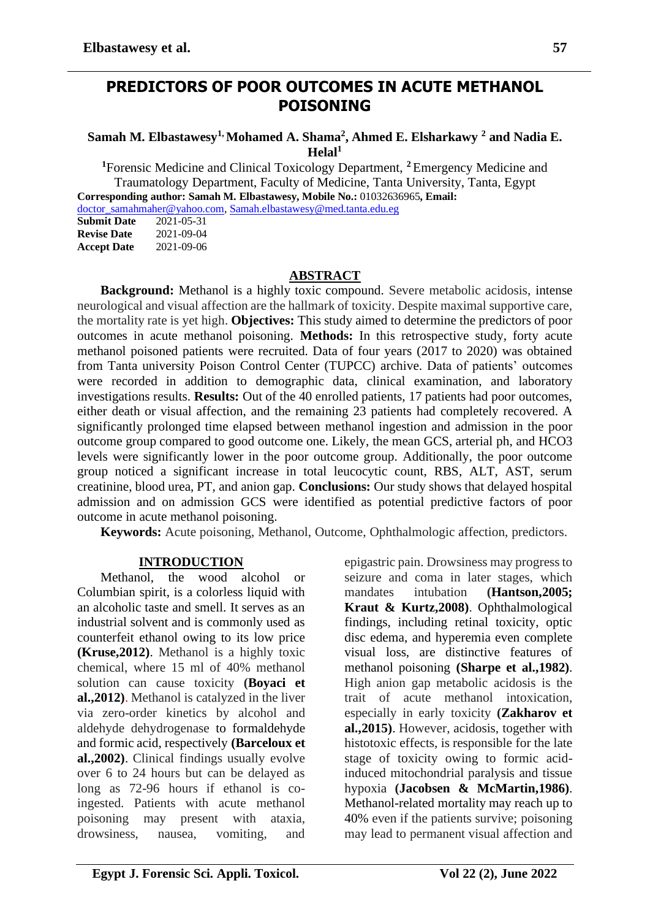## **PREDICTORS OF POOR OUTCOMES IN ACUTE METHANOL POISONING**

**Samah M. Elbastawesy1, Mohamed A. Shama<sup>2</sup> , Ahmed E. Elsharkawy <sup>2</sup> and Nadia E.**   $H$ elal<sup>1</sup>

**<sup>1</sup>**Forensic Medicine and Clinical Toxicology Department, **<sup>2</sup>**Emergency Medicine and Traumatology Department, Faculty of Medicine, Tanta University, Tanta, Egypt **Corresponding author: Samah M. Elbastawesy, Mobile No.:** 01032636965**, Email:** [doctor\\_samahmaher@yahoo.com,](mailto:doctor_samahmaher@yahoo.com) [Samah.elbastawesy@med.tanta.edu.eg](mailto:Samah.elbastawesy@med.tanta.edu.eg)<br>Submit Date 2021-05-31

**Submit Date Revise Date** 2021-09-04 **Accept Date** 2021-09-06

### **ABSTRACT**

**Background:** Methanol is a highly toxic compound. Severe metabolic acidosis, intense neurological and visual affection are the hallmark of toxicity. Despite maximal supportive care, the mortality rate is yet high. **Objectives:** This study aimed to determine the predictors of poor outcomes in acute methanol poisoning. **Methods:** In this retrospective study, forty acute methanol poisoned patients were recruited. Data of four years (2017 to 2020) was obtained from Tanta university Poison Control Center (TUPCC) archive. Data of patients' outcomes were recorded in addition to demographic data, clinical examination, and laboratory investigations results. **Results:** Out of the 40 enrolled patients, 17 patients had poor outcomes, either death or visual affection, and the remaining 23 patients had completely recovered. A significantly prolonged time elapsed between methanol ingestion and admission in the poor outcome group compared to good outcome one. Likely, the mean GCS, arterial ph, and HCO3 levels were significantly lower in the poor outcome group. Additionally, the poor outcome group noticed a significant increase in total leucocytic count, RBS, ALT, AST, serum creatinine, blood urea, PT, and anion gap. **Conclusions:** Our study shows that delayed hospital admission and on admission GCS were identified as potential predictive factors of poor outcome in acute methanol poisoning.

**Keywords:** Acute poisoning, Methanol, Outcome, Ophthalmologic affection, predictors.

#### **INTRODUCTION**

Methanol, the wood alcohol or Columbian spirit, is a colorless liquid with an alcoholic taste and smell. It serves as an industrial solvent and is commonly used as counterfeit ethanol owing to its low price **(Kruse,2012)**. Methanol is a highly toxic chemical, where 15 ml of 40% methanol solution can cause toxicity **(Boyaci et al.,2012)**. Methanol is catalyzed in the liver via zero-order kinetics by alcohol and aldehyde dehydrogenase to formaldehyde and formic acid, respectively **(Barceloux et al.,2002)**. Clinical findings usually evolve over 6 to 24 hours but can be delayed as long as 72-96 hours if ethanol is coingested. Patients with acute methanol poisoning may present with ataxia, drowsiness, nausea, vomiting, and

epigastric pain. Drowsiness may progress to seizure and coma in later stages, which mandates intubation **(Hantson,2005; Kraut & Kurtz,2008)**. Ophthalmological findings, including retinal toxicity, optic disc edema, and hyperemia even complete visual loss, are distinctive features of methanol poisoning **(Sharpe et al.,1982)**. High anion gap metabolic acidosis is the trait of acute methanol intoxication, especially in early toxicity **(Zakharov et al.,2015)**. However, acidosis, together with histotoxic effects, is responsible for the late stage of toxicity owing to formic acidinduced mitochondrial paralysis and tissue hypoxia **(Jacobsen & McMartin,1986)**. Methanol-related mortality may reach up to 40% even if the patients survive; poisoning may lead to permanent visual affection and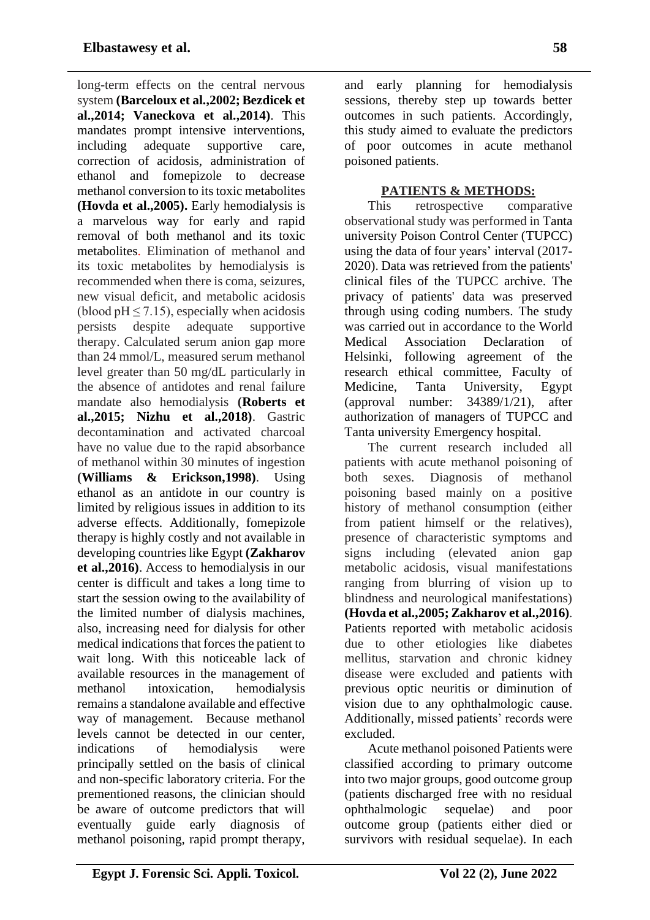long-term effects on the central nervous system **(Barceloux et al.,2002; Bezdicek et al.,2014; Vaneckova et al.,2014)**. This mandates prompt intensive interventions, including adequate supportive care, correction of acidosis, administration of ethanol and fomepizole to decrease methanol conversion to its toxic metabolites **(Hovda et al.,2005).** Early hemodialysis is a marvelous way for early and rapid removal of both methanol and its toxic metabolites. Elimination of methanol and its toxic metabolites by hemodialysis is recommended when there is coma, seizures, new visual deficit, and metabolic acidosis (blood  $pH \le 7.15$ ), especially when acidosis persists despite adequate supportive therapy. Calculated serum anion gap more than 24 mmol/L, measured serum methanol level greater than 50 mg/dL particularly in the absence of antidotes and renal failure mandate also hemodialysis **(Roberts et al.,2015; Nizhu et al.,2018)**. Gastric decontamination and activated charcoal have no value due to the rapid absorbance of methanol within 30 minutes of ingestion **(Williams & Erickson,1998)**. Using ethanol as an antidote in our country is limited by religious issues in addition to its adverse effects. Additionally, fomepizole therapy is highly costly and not available in developing countries like Egypt **(Zakharov et al.,2016)**. Access to hemodialysis in our center is difficult and takes a long time to start the session owing to the availability of the limited number of dialysis machines, also, increasing need for dialysis for other medical indications that forces the patient to wait long. With this noticeable lack of available resources in the management of methanol intoxication, hemodialysis remains a standalone available and effective way of management. Because methanol levels cannot be detected in our center, indications of hemodialysis were principally settled on the basis of clinical and non-specific laboratory criteria. For the prementioned reasons, the clinician should be aware of outcome predictors that will eventually guide early diagnosis of methanol poisoning, rapid prompt therapy,

and early planning for hemodialysis sessions, thereby step up towards better outcomes in such patients. Accordingly, this study aimed to evaluate the predictors of poor outcomes in acute methanol poisoned patients.

## **PATIENTS & METHODS:**

This retrospective comparative observational study was performed in Tanta university Poison Control Center (TUPCC) using the data of four years' interval (2017- 2020). Data was retrieved from the patients' clinical files of the TUPCC archive. The privacy of patients' data was preserved through using coding numbers. The study was carried out in accordance to the World Medical Association Declaration of Helsinki, following agreement of the research ethical committee, Faculty of Medicine, Tanta University, Egypt (approval number: 34389/1/21), after authorization of managers of TUPCC and Tanta university Emergency hospital.

The current research included all patients with acute methanol poisoning of both sexes. Diagnosis of methanol poisoning based mainly on a positive history of methanol consumption (either from patient himself or the relatives), presence of characteristic symptoms and signs including (elevated anion gap metabolic acidosis, visual manifestations ranging from blurring of vision up to blindness and neurological manifestations) **(Hovda et al.,2005; Zakharov et al.,2016)**. Patients reported with metabolic acidosis due to other etiologies like diabetes mellitus, starvation and chronic kidney disease were excluded and patients with previous optic neuritis or diminution of vision due to any ophthalmologic cause. Additionally, missed patients' records were excluded.

Acute methanol poisoned Patients were classified according to primary outcome into two major groups, good outcome group (patients discharged free with no residual ophthalmologic sequelae) and poor outcome group (patients either died or survivors with residual sequelae). In each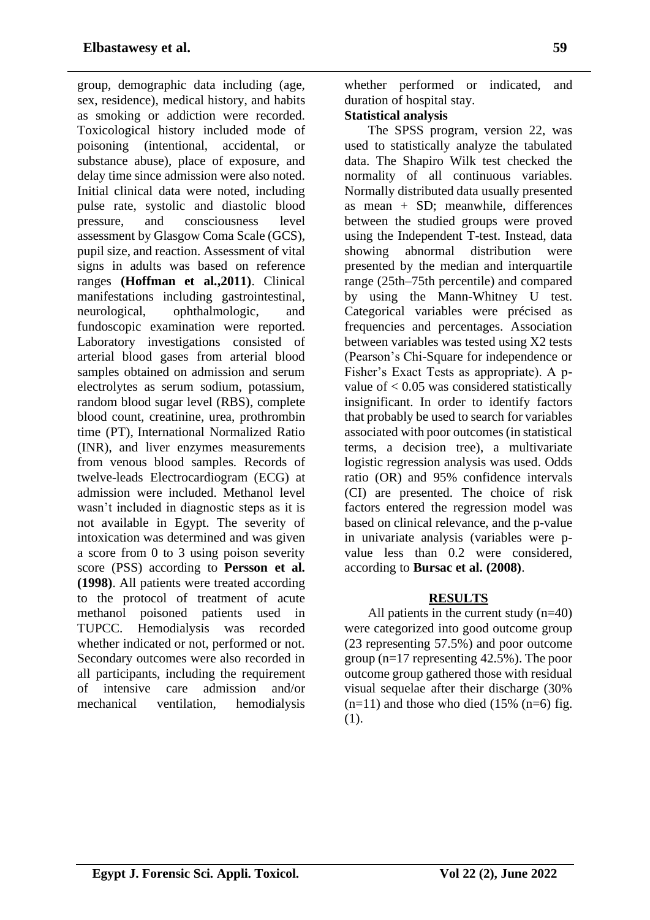group, demographic data including (age, sex, residence), medical history, and habits as smoking or addiction were recorded. Toxicological history included mode of poisoning (intentional, accidental, or substance abuse), place of exposure, and delay time since admission were also noted. Initial clinical data were noted, including pulse rate, systolic and diastolic blood pressure, and consciousness level assessment by Glasgow Coma Scale (GCS), pupil size, and reaction. Assessment of vital signs in adults was based on reference ranges **(Hoffman et al.,2011)**. Clinical manifestations including gastrointestinal, neurological, ophthalmologic, and fundoscopic examination were reported. Laboratory investigations consisted of arterial blood gases from arterial blood samples obtained on admission and serum electrolytes as serum sodium, potassium, random blood sugar level (RBS), complete blood count, creatinine, urea, prothrombin time (PT), International Normalized Ratio (INR), and liver enzymes measurements from venous blood samples. Records of twelve-leads Electrocardiogram (ECG) at admission were included. Methanol level wasn't included in diagnostic steps as it is not available in Egypt. The severity of intoxication was determined and was given a score from 0 to 3 using poison severity score (PSS) according to **Persson et al. (1998)**. All patients were treated according to the protocol of treatment of acute methanol poisoned patients used in TUPCC. Hemodialysis was recorded whether indicated or not, performed or not. Secondary outcomes were also recorded in all participants, including the requirement of intensive care admission and/or mechanical ventilation, hemodialysis

whether performed or indicated, and duration of hospital stay.

## **Statistical analysis**

The SPSS program, version 22, was used to statistically analyze the tabulated data. The Shapiro Wilk test checked the normality of all continuous variables. Normally distributed data usually presented as mean + SD; meanwhile, differences between the studied groups were proved using the Independent T-test. Instead, data showing abnormal distribution were presented by the median and interquartile range (25th–75th percentile) and compared by using the Mann-Whitney U test. Categorical variables were précised as frequencies and percentages. Association between variables was tested using X2 tests (Pearson's Chi-Square for independence or Fisher's Exact Tests as appropriate). A pvalue of  $< 0.05$  was considered statistically insignificant. In order to identify factors that probably be used to search for variables associated with poor outcomes (in statistical terms, a decision tree), a multivariate logistic regression analysis was used. Odds ratio (OR) and 95% confidence intervals (CI) are presented. The choice of risk factors entered the regression model was based on clinical relevance, and the p-value in univariate analysis (variables were pvalue less than 0.2 were considered, according to **Bursac et al. (2008)**.

## **RESULTS**

All patients in the current study (n=40) were categorized into good outcome group (23 representing 57.5%) and poor outcome group (n=17 representing 42.5%). The poor outcome group gathered those with residual visual sequelae after their discharge (30%  $(n=11)$  and those who died (15%  $(n=6)$  fig. (1).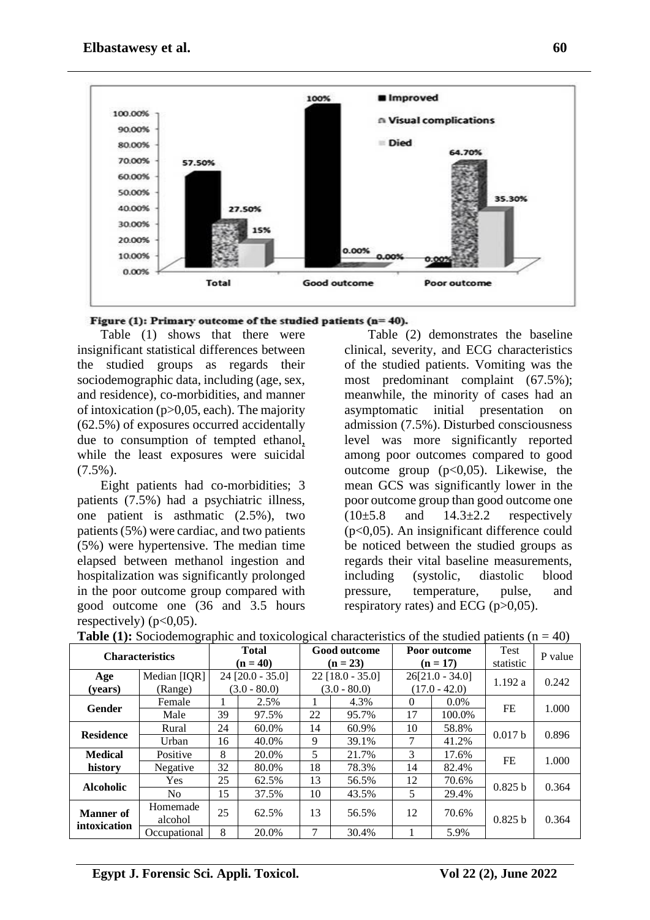

Figure (1): Primary outcome of the studied patients ( $n=40$ ).

Table (1) shows that there were insignificant statistical differences between the studied groups as regards their sociodemographic data, including (age, sex, and residence), co-morbidities, and manner of intoxication (p>0,05, each). The majority (62.5%) of exposures occurred accidentally due to consumption of tempted ethanol, while the least exposures were suicidal  $(7.5\%)$ .

Eight patients had co-morbidities; 3 patients (7.5%) had a psychiatric illness, one patient is asthmatic (2.5%), two patients (5%) were cardiac, and two patients (5%) were hypertensive. The median time elapsed between methanol ingestion and hospitalization was significantly prolonged in the poor outcome group compared with good outcome one (36 and 3.5 hours respectively)  $(p<0.05)$ .

Table (2) demonstrates the baseline clinical, severity, and ECG characteristics of the studied patients. Vomiting was the most predominant complaint (67.5%); meanwhile, the minority of cases had an asymptomatic initial presentation on admission (7.5%). Disturbed consciousness level was more significantly reported among poor outcomes compared to good outcome group  $(p<0.05)$ . Likewise, the mean GCS was significantly lower in the poor outcome group than good outcome one  $(10\pm5.8$  and  $14.3\pm2.2$  respectively (p<0,05). An insignificant difference could be noticed between the studied groups as regards their vital baseline measurements, including (systolic, diastolic blood pressure, temperature, pulse, and respiratory rates) and ECG  $(p>0.05)$ .

| <b>Characteristics</b> |                     | <b>Total</b><br>$(n = 40)$ |                    | <b>Good outcome</b><br>$(n = 23)$ |                |                   | Poor outcome<br>$(n = 17)$ | <b>Test</b><br>statistic | P value |
|------------------------|---------------------|----------------------------|--------------------|-----------------------------------|----------------|-------------------|----------------------------|--------------------------|---------|
| Age                    | Median [IQR]        |                            | $24$ [20.0 - 35.0] | $22$ [18.0 - 35.0]                |                | $26[21.0 - 34.0]$ |                            | 1.192a                   | 0.242   |
| (years)                | (Range)             |                            | $(3.0 - 80.0)$     |                                   | $(3.0 - 80.0)$ | $(17.0 - 42.0)$   |                            |                          |         |
| Gender                 | Female              |                            | 2.5%               |                                   | 4.3%           | $\theta$          | $0.0\%$                    | FE                       | 1.000   |
|                        | Male                | 39                         | 97.5%              | 22                                | 95.7%          | 17                | 100.0%                     |                          |         |
| <b>Residence</b>       | Rural               | 24                         | 60.0%              | 14                                | 60.9%          | 10                | 58.8%                      | 0.017 b                  | 0.896   |
|                        | Urban               | 16                         | 40.0%              | 9                                 | 39.1%          | 7                 | 41.2%                      |                          |         |
| <b>Medical</b>         | Positive            | 8                          | 20.0%              | 5                                 | 21.7%          | 3                 | 17.6%                      | FE                       | 1.000   |
| history                | Negative            | 32                         | 80.0%              | 18                                | 78.3%          | 14                | 82.4%                      |                          |         |
| <b>Alcoholic</b>       | Yes                 | 25                         | 62.5%              | 13                                | 56.5%          | 12                | 70.6%                      | 0.825h                   | 0.364   |
|                        | No.                 | 15                         | 37.5%              | 10                                | 43.5%          | 5                 | 29.4%                      |                          |         |
| <b>Manner</b> of       | Homemade<br>alcohol | 25                         | 62.5%              | 13                                | 56.5%          | 12                | 70.6%                      | 0.825h                   | 0.364   |
| intoxication           | Occupational        | 8                          | 20.0%              | 7                                 | 30.4%          |                   | 5.9%                       |                          |         |

**Table (1):** Sociodemographic and toxicological characteristics of the studied patients ( $n = 40$ )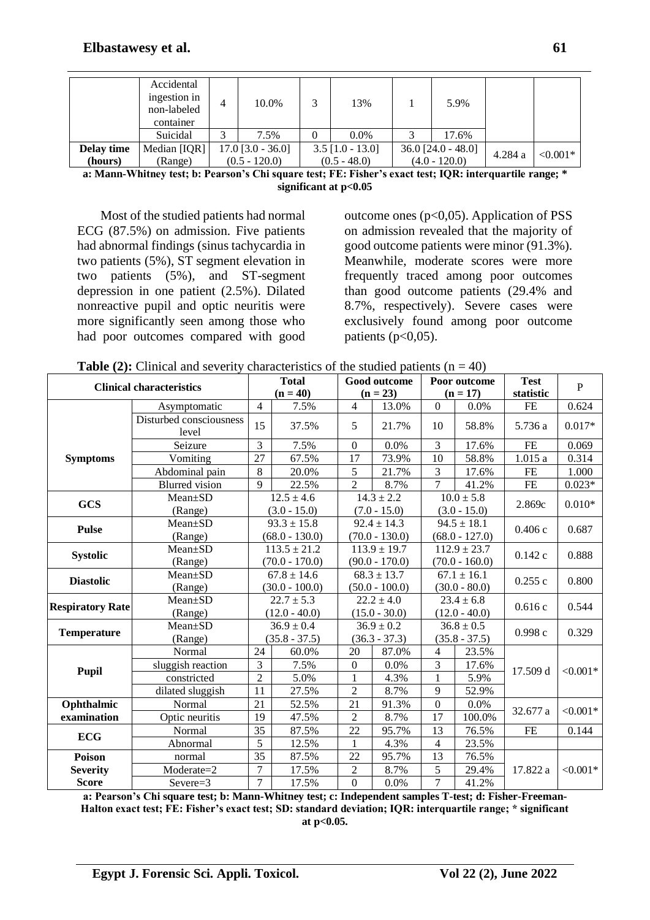|            | Accidental<br>ingestion in<br>non-labeled<br>container | 4 | 10.0%               |                | 13%                |                 | 5.9%                 |         |            |
|------------|--------------------------------------------------------|---|---------------------|----------------|--------------------|-----------------|----------------------|---------|------------|
|            | Suicidal                                               |   | 7.5%                | $\Omega$       | $0.0\%$            |                 | 17.6%                |         |            |
| Delay time | Median [IQR]                                           |   | $17.0$ [3.0 - 36.0] |                | $3.5$ [1.0 - 13.0] |                 | $36.0$ [24.0 - 48.0] |         | $< 0.001*$ |
| (hours)    | (Range)                                                |   | $(0.5 - 120.0)$     | $(0.5 - 48.0)$ |                    | $(4.0 - 120.0)$ |                      | 4.284 a |            |

**a: Mann-Whitney test; b: Pearson's Chi square test; FE: Fisher's exact test; IQR: interquartile range; \* significant at p<0.05**

Most of the studied patients had normal ECG (87.5%) on admission. Five patients had abnormal findings (sinus tachycardia in two patients (5%), ST segment elevation in two patients (5%), and ST-segment depression in one patient (2.5%). Dilated nonreactive pupil and optic neuritis were more significantly seen among those who had poor outcomes compared with good outcome ones ( $p<0.05$ ). Application of PSS on admission revealed that the majority of good outcome patients were minor (91.3%). Meanwhile, moderate scores were more frequently traced among poor outcomes than good outcome patients (29.4% and 8.7%, respectively). Severe cases were exclusively found among poor outcome patients  $(p<0.05)$ .

| <b>Clinical characteristics</b> |                                  | <b>Total</b>     |                  |                          | Good outcome     |                  | Poor outcome     | <b>Test</b> | $\mathbf{P}$ |
|---------------------------------|----------------------------------|------------------|------------------|--------------------------|------------------|------------------|------------------|-------------|--------------|
|                                 |                                  |                  | $(n = 40)$       |                          | $(n = 23)$       |                  | $(n = 17)$       | statistic   |              |
|                                 | Asymptomatic                     | $\overline{4}$   | 7.5%             | $\overline{\mathcal{L}}$ | 13.0%            | $\overline{0}$   | 0.0%             | <b>FE</b>   | 0.624        |
|                                 | Disturbed consciousness<br>level | 15               | 37.5%            | 5                        | 21.7%            | 10               | 58.8%            | 5.736 a     | $0.017*$     |
|                                 | Seizure                          | 3                | 7.5%             | $\mathbf{0}$             | 0.0%             | 3                | 17.6%            | <b>FE</b>   | 0.069        |
| <b>Symptoms</b>                 | Vomiting                         | 27               | 67.5%            | 17                       | 73.9%            | 10               | 58.8%            | 1.015a      | 0.314        |
|                                 | Abdominal pain                   | 8                | 20.0%            | 5                        | 21.7%            | 3                | 17.6%            | <b>FE</b>   | 1.000        |
|                                 | <b>Blurred</b> vision            | 9                | 22.5%            | $\overline{2}$           | 8.7%             | $\overline{7}$   | 41.2%            | FE          | $0.023*$     |
| <b>GCS</b>                      | Mean±SD                          |                  | $12.5 \pm 4.6$   |                          | $14.3 \pm 2.2$   |                  | $10.0 \pm 5.8$   |             | $0.010*$     |
|                                 | (Range)                          |                  | $(3.0 - 15.0)$   | $(7.0 - 15.0)$           |                  | $(3.0 - 15.0)$   |                  | 2.869c      |              |
| <b>Pulse</b>                    | Mean±SD                          |                  | $93.3 \pm 15.8$  | $92.4 \pm 14.3$          |                  | $94.5 \pm 18.1$  |                  | 0.406c      | 0.687        |
|                                 | (Range)                          |                  | $(68.0 - 130.0)$ | $(70.0 - 130.0)$         |                  | $(68.0 - 127.0)$ |                  |             |              |
| <b>Systolic</b>                 | Mean±SD                          |                  | $113.5 \pm 21.2$ |                          | $113.9 \pm 19.7$ |                  | $112.9 \pm 23.7$ | 0.142c      | 0.888        |
|                                 | (Range)                          | $(70.0 - 170.0)$ |                  | $(90.0 - 170.0)$         |                  | $(70.0 - 160.0)$ |                  |             |              |
| <b>Diastolic</b>                | Mean±SD                          | $67.8 \pm 14.6$  |                  |                          | $68.3 \pm 13.7$  | $67.1 \pm 16.1$  |                  | 0.255c      | 0.800        |
|                                 | (Range)                          | $(30.0 - 100.0)$ |                  | $(50.0 - 100.0)$         |                  | $(30.0 - 80.0)$  |                  |             |              |
| <b>Respiratory Rate</b>         | Mean±SD                          | $22.7 \pm 5.3$   |                  | $22.2 \pm 4.0$           |                  | $23.4 \pm 6.8$   |                  | 0.616c      | 0.544        |
|                                 | (Range)                          | $(12.0 - 40.0)$  |                  | $(15.0 - 30.0)$          |                  | $(12.0 - 40.0)$  |                  |             |              |
| <b>Temperature</b>              | Mean±SD                          | $36.9 \pm 0.4$   |                  | $36.9 \pm 0.2$           |                  | $36.8 \pm 0.5$   |                  | 0.998c      | 0.329        |
|                                 | (Range)                          | $(35.8 - 37.5)$  |                  | $(36.3 - 37.3)$          |                  | $(35.8 - 37.5)$  |                  |             |              |
|                                 | Normal                           | 24               | 60.0%            | 20                       | 87.0%            | $\overline{4}$   | 23.5%            |             |              |
| Pupil                           | sluggish reaction                | 3                | 7.5%             | $\theta$                 | 0.0%             | 3                | 17.6%            | 17.509 d    | $< 0.001*$   |
|                                 | constricted                      | $\overline{2}$   | 5.0%             | $\mathbf{1}$             | 4.3%             | $\mathbf{1}$     | 5.9%             |             |              |
| dilated sluggish                |                                  | 11               | 27.5%            | $\overline{2}$           | 8.7%             | 9                | 52.9%            |             |              |
| Ophthalmic                      | Normal                           |                  | 52.5%            | 21                       | 91.3%            | $\mathbf{0}$     | 0.0%             | 32.677 a    | ${<}0.001*$  |
| examination                     | Optic neuritis                   |                  | 47.5%            | $\overline{2}$           | 8.7%             | 17               | 100.0%           |             |              |
|                                 | Normal                           |                  | 87.5%            | 22                       | 95.7%            | 13               | 76.5%            | $\rm FE$    | 0.144        |
|                                 | <b>ECG</b><br>Abnormal           |                  | 12.5%            | 1                        | 4.3%             | 4                | 23.5%            |             |              |
| Poison                          | normal                           | 35               | 87.5%            | 22                       | 95.7%            | 13               | 76.5%            |             |              |
| <b>Severity</b>                 | Moderate=2                       | $\overline{7}$   | 17.5%            | $\overline{2}$           | 8.7%             | 5                | 29.4%            | 17.822 a    | $< 0.001*$   |
| <b>Score</b>                    | $Severe=3$                       | $\tau$           | 17.5%            | $\overline{0}$           | 0.0%             | $\overline{7}$   | 41.2%            |             |              |

**Table (2):** Clinical and severity characteristics of the studied patients ( $n = 40$ )

**a: Pearson's Chi square test; b: Mann-Whitney test; c: Independent samples T-test; d: Fisher-Freeman-Halton exact test; FE: Fisher's exact test; SD: standard deviation; IQR: interquartile range; \* significant at p<0.05.**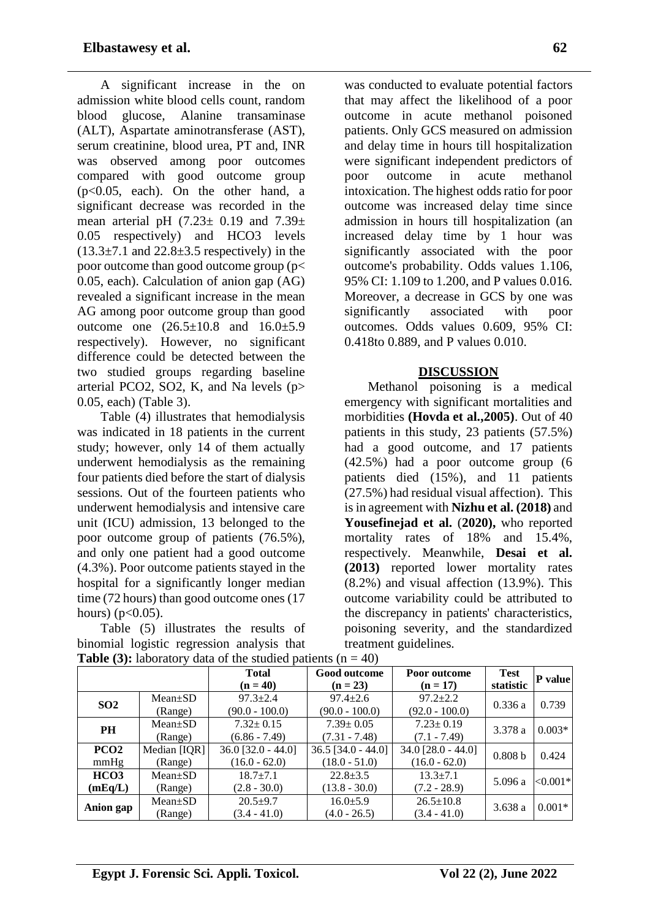A significant increase in the on admission white blood cells count, random blood glucose, Alanine transaminase (ALT), Aspartate aminotransferase (AST), serum creatinine, blood urea, PT and, INR was observed among poor outcomes compared with good outcome group  $(p<0.05$ , each). On the other hand, a significant decrease was recorded in the mean arterial pH  $(7.23 \pm 0.19)$  and  $7.39 \pm 1.39$ 0.05 respectively) and HCO3 levels  $(13.3\pm7.1$  and  $22.8\pm3.5$  respectively) in the poor outcome than good outcome group (p< 0.05, each). Calculation of anion gap (AG) revealed a significant increase in the mean AG among poor outcome group than good outcome one (26.5±10.8 and 16.0±5.9 respectively). However, no significant difference could be detected between the two studied groups regarding baseline arterial PCO2, SO2, K, and Na levels (p> 0.05, each) (Table 3).

Table (4) illustrates that hemodialysis was indicated in 18 patients in the current study; however, only 14 of them actually underwent hemodialysis as the remaining four patients died before the start of dialysis sessions. Out of the fourteen patients who underwent hemodialysis and intensive care unit (ICU) admission, 13 belonged to the poor outcome group of patients (76.5%), and only one patient had a good outcome (4.3%). Poor outcome patients stayed in the hospital for a significantly longer median time (72 hours) than good outcome ones (17 hours) ( $p < 0.05$ ).

Table (5) illustrates the results of binomial logistic regression analysis that was conducted to evaluate potential factors that may affect the likelihood of a poor outcome in acute methanol poisoned patients. Only GCS measured on admission and delay time in hours till hospitalization were significant independent predictors of poor outcome in acute methanol intoxication. The highest odds ratio for poor outcome was increased delay time since admission in hours till hospitalization (an increased delay time by 1 hour was significantly associated with the poor outcome's probability. Odds values 1.106, 95% CI: 1.109 to 1.200, and P values 0.016. Moreover, a decrease in GCS by one was significantly associated with poor outcomes. Odds values 0.609, 95% CI: 0.418to 0.889, and P values 0.010.

### **DISCUSSION**

Methanol poisoning is a medical emergency with significant mortalities and morbidities **(Hovda et al.,2005)**. Out of 40 patients in this study, 23 patients (57.5%) had a good outcome, and 17 patients (42.5%) had a poor outcome group (6 patients died (15%), and 11 patients (27.5%) had residual visual affection). This is in agreement with **Nizhu et al. (2018)** and **Yousefinejad et al.** (**2020),** who reported mortality rates of 18% and 15.4%, respectively. Meanwhile, **Desai et al. (2013)** reported lower mortality rates (8.2%) and visual affection (13.9%). This outcome variability could be attributed to the discrepancy in patients' characteristics, poisoning severity, and the standardized treatment guidelines.

|                  |               | <b>Total</b><br>$(n = 40)$ | Good outcome<br>$(n = 23)$ | Poor outcome<br>$(n = 17)$ | <b>Test</b><br>statistic | P value    |
|------------------|---------------|----------------------------|----------------------------|----------------------------|--------------------------|------------|
| SO <sub>2</sub>  | $Mean \pm SD$ | $97.3 \pm 2.4$             | $97.4 \pm 2.6$             | $97.2 \pm 2.2$             | 0.336a                   | 0.739      |
|                  | (Range)       | $(90.0 - 100.0)$           | $(90.0 - 100.0)$           | $(92.0 - 100.0)$           |                          |            |
| <b>PH</b>        | $Mean \pm SD$ | $7.32 \pm 0.15$            | $7.39 \pm 0.05$            | $7.23 \pm 0.19$            | 3.378 a                  | $0.003*$   |
| (Range)          |               | $(6.86 - 7.49)$            | $(7.31 - 7.48)$            | $(7.1 - 7.49)$             |                          |            |
| PCO <sub>2</sub> | Median [IQR]  | $36.0$ [32.0 - 44.0]       | $36.5$ [34.0 - 44.0]       | $34.0$ [28.0 - 44.0]       | 0.808 b                  | 0.424      |
| mmHg             | (Range)       | $(16.0 - 62.0)$            | $(18.0 - 51.0)$            | $(16.0 - 62.0)$            |                          |            |
| HCO <sub>3</sub> | $Mean \pm SD$ | $18.7 \pm 7.1$             | $22.8 \pm 3.5$             | $13.3 \pm 7.1$             | 5.096a                   | $ <0.001*$ |
| (mEq/L)          | (Range)       | $(2.8 - 30.0)$             | $(13.8 - 30.0)$            | $(7.2 - 28.9)$             |                          |            |
|                  | $Mean \pm SD$ | $20.5 + 9.7$               | $16.0 \pm 5.9$             | $26.5 \pm 10.8$            | 3.638a                   | $0.001*$   |
| Anion gap        | (Range)       | $(3.4 - 41.0)$             | $(4.0 - 26.5)$             | $(3.4 - 41.0)$             |                          |            |

# **Table (3):** laboratory data of the studied patients  $(n = 40)$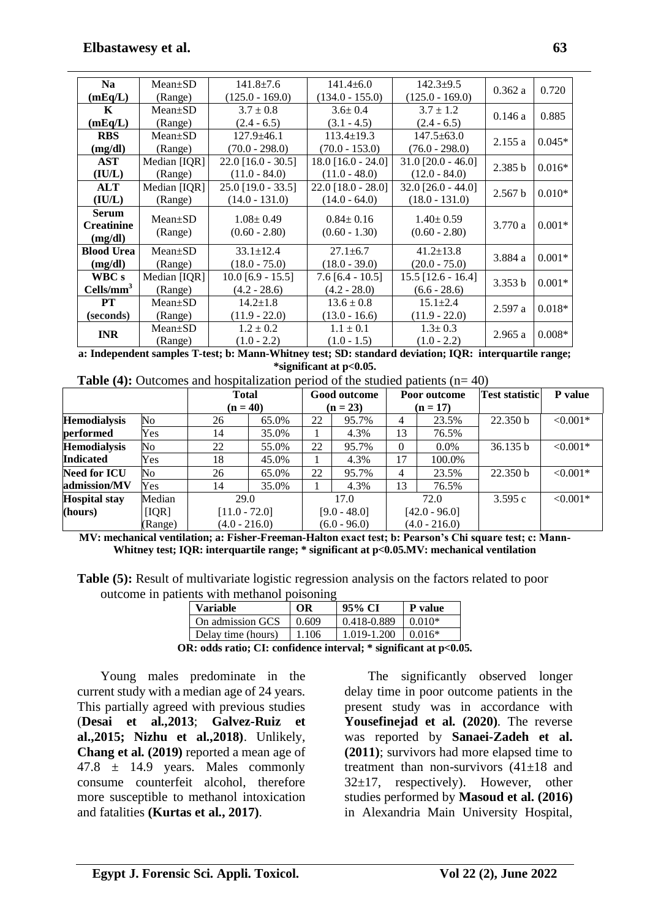| <b>Na</b>                                    | $Mean \pm SD$            | $141.8 \pm 7.6$                    | $141.4 \pm 6.0$                    | $142.3+9.5$                        | 0.362a  | 0.720    |
|----------------------------------------------|--------------------------|------------------------------------|------------------------------------|------------------------------------|---------|----------|
| (mEq/L)                                      | (Range)                  | $(125.0 - 169.0)$                  | $(134.0 - 155.0)$                  | $(125.0 - 169.0)$                  |         |          |
| $\mathbf{K}$                                 | $Mean \pm SD$            | $3.7 \pm 0.8$                      | $3.6 \pm 0.4$                      | $3.7 \pm 1.2$                      | 0.146a  | 0.885    |
| (mEq/L)                                      | (Range)                  | $(2.4 - 6.5)$                      | $(3.1 - 4.5)$                      | $(2.4 - 6.5)$                      |         |          |
| <b>RBS</b>                                   | $Mean \pm SD$            | $127.9 + 46.1$                     | $113.4 \pm 19.3$                   | $147.5 \pm 63.0$                   |         |          |
| (mg/dl)                                      | (Range)                  | $(70.0 - 298.0)$                   | $(70.0 - 153.0)$                   | $(76.0 - 298.0)$                   | 2.155a  | $0.045*$ |
| <b>AST</b>                                   | Median [IQR]             | $22.0$ [16.0 - 30.5]               | $18.0$ [16.0 - 24.0]               | $31.0$ [20.0 - 46.0]               | 2.385 b | $0.016*$ |
| (IU/L)                                       | (Range)                  | $(11.0 - 84.0)$                    | $(11.0 - 48.0)$                    | $(12.0 - 84.0)$                    |         |          |
| <b>ALT</b>                                   | Median [IQR]             | $25.0$ [19.0 - 33.5]               | $22.0$ [18.0 - 28.0]               | $32.0$ [26.0 - 44.0]               | 2.567 b | $0.010*$ |
| (IU/L)                                       | (Range)                  | $(14.0 - 131.0)$                   | $(14.0 - 64.0)$                    | $(18.0 - 131.0)$                   |         |          |
| <b>Serum</b><br><b>Creatinine</b><br>(mg/dl) | $Mean \pm SD$<br>(Range) | $1.08 \pm 0.49$<br>$(0.60 - 2.80)$ | $0.84 \pm 0.16$<br>$(0.60 - 1.30)$ | $1.40 \pm 0.59$<br>$(0.60 - 2.80)$ | 3.770a  | $0.001*$ |
| <b>Blood Urea</b>                            | $Mean \pm SD$            | $33.1 \pm 12.4$                    | $27.1 \pm 6.7$                     | $41.2 \pm 13.8$                    | 3.884 a | $0.001*$ |
| (mg/dl)                                      | (Range)                  | $(18.0 - 75.0)$                    | $(18.0 - 39.0)$                    | $(20.0 - 75.0)$                    |         |          |
| WBC s                                        | Median [IQR]             | $10.0$ [6.9 - 15.5]                | $7.6$ [6.4 - 10.5]                 | $15.5$ [12.6 - 16.4]               | 3.353 b | $0.001*$ |
| $Cells/mm^3$                                 | (Range)                  | $(4.2 - 28.6)$                     | $(4.2 - 28.0)$                     | $(6.6 - 28.6)$                     |         |          |
| <b>PT</b>                                    | $Mean \pm SD$            | $14.2 \pm 1.8$                     | $13.6 \pm 0.8$                     | $15.1 \pm 2.4$                     | 2.597a  | $0.018*$ |
| (seconds)                                    | (Range)                  | $(11.9 - 22.0)$                    | $(13.0 - 16.6)$                    | $(11.9 - 22.0)$                    |         |          |
| <b>INR</b>                                   | $Mean \pm SD$            | $1.2 \pm 0.2$                      | $1.1 \pm 0.1$                      | $1.3 \pm 0.3$                      | 2.965a  | $0.008*$ |
| (Range)                                      |                          | $(1.0 - 2.2)$                      | $(1.0 - 1.5)$                      | $(1.0 - 2.2)$                      |         |          |

**a: Independent samples T-test; b: Mann-Whitney test; SD: standard deviation; IQR: interquartile range; \*significant at p<0.05.**

| <b>Table (4):</b> Outcomes and hospitalization period of the studied patients $(n=40)$ |  |
|----------------------------------------------------------------------------------------|--|
|----------------------------------------------------------------------------------------|--|

| $\sim$ $\sim$        |         | <b>Total</b>    |       |                | Good outcome<br>Poor outcome |                | <b>Test statistic</b> | P value             |            |
|----------------------|---------|-----------------|-------|----------------|------------------------------|----------------|-----------------------|---------------------|------------|
|                      |         | $(n = 40)$      |       |                | $(n = 23)$                   |                | $(n = 17)$            |                     |            |
| <b>Hemodialysis</b>  | No      | 26              | 65.0% | 22             | 95.7%                        | $\overline{4}$ | 23.5%                 | 22.350 b            | $< 0.001*$ |
| performed            | Yes     | 14              | 35.0% |                | 4.3%                         | 13             | 76.5%                 |                     |            |
| <b>Hemodialysis</b>  | No      | 22              | 55.0% | 22             | 95.7%                        | $\Omega$       | $0.0\%$               | 36.135 b            | $< 0.001*$ |
| <b>Indicated</b>     | Yes     | 18              | 45.0% |                | 4.3%                         | 17             | 100.0%                |                     |            |
| <b>Need for ICU</b>  | No      | 26              | 65.0% | 22             | 95.7%                        | $\overline{4}$ | 23.5%                 | 22.350 <sub>b</sub> | $< 0.001*$ |
| admission/MV         | Yes     | 14              | 35.0% |                | 4.3%                         | 13             | 76.5%                 |                     |            |
| <b>Hospital stay</b> | Median  | 29.0            |       | 17.0           |                              |                | 72.0                  | 3.595c              | $< 0.001*$ |
| (hours)              | [IQR]   | $[11.0 - 72.0]$ |       | $[9.0 - 48.0]$ |                              |                | $[42.0 - 96.0]$       |                     |            |
|                      | (Range) | $(4.0 - 216.0)$ |       |                | $(6.0 - 96.0)$               |                | $(4.0 - 216.0)$       |                     |            |

**MV: mechanical ventilation; a: Fisher-Freeman-Halton exact test; b: Pearson's Chi square test; c: Mann-Whitney test; IQR: interquartile range; \* significant at p<0.05.MV: mechanical ventilation**

| <b>Table (5):</b> Result of multivariate logistic regression analysis on the factors related to poor |  |  |  |
|------------------------------------------------------------------------------------------------------|--|--|--|
| outcome in patients with methanol poisoning                                                          |  |  |  |

| <b>Variable</b>    | ОR    | 95% CI      | P value  |
|--------------------|-------|-------------|----------|
| On admission GCS   | 0.609 | 0.418-0.889 | $0.010*$ |
| Delay time (hours) | 1.106 | 1.019-1.200 | $0.016*$ |

**OR: odds ratio; CI: confidence interval; \* significant at p<0.05.** 

Young males predominate in the current study with a median age of 24 years. This partially agreed with previous studies (**Desai et al.,2013**; **Galvez-Ruiz et al.,2015; Nizhu et al.,2018)**. Unlikely, **Chang et al. (2019)** reported a mean age of 47.8 ± 14.9 years. Males commonly consume counterfeit alcohol, therefore more susceptible to methanol intoxication and fatalities **(Kurtas et al., 2017)**.

The significantly observed longer delay time in poor outcome patients in the present study was in accordance with **Yousefinejad et al. (2020)**. The reverse was reported by **Sanaei-Zadeh et al. (2011)**; survivors had more elapsed time to treatment than non-survivors  $(41\pm18)$  and  $32\pm17$ , respectively). However, other studies performed by **Masoud et al. (2016)** in Alexandria Main University Hospital,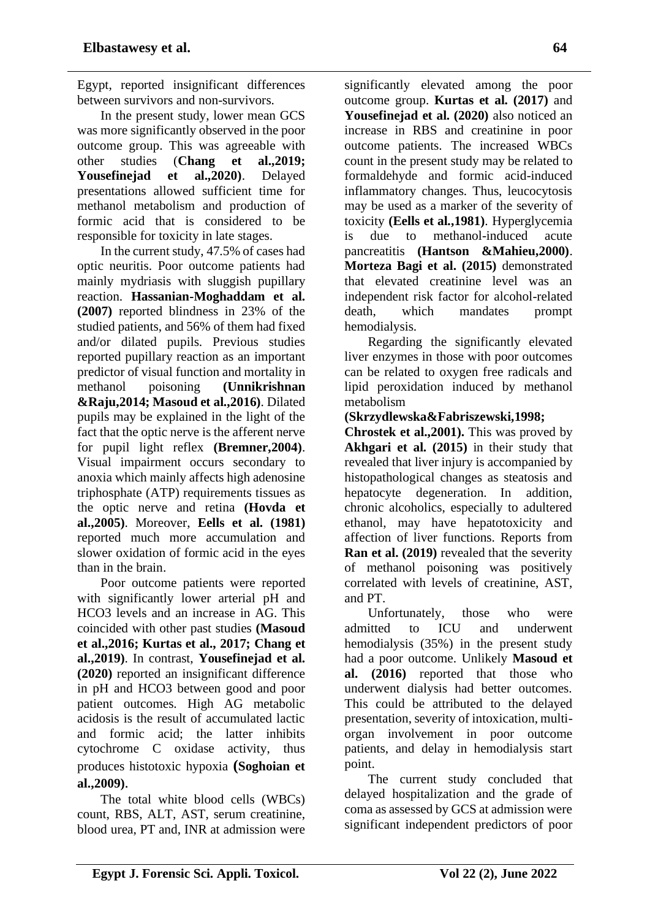Egypt, reported insignificant differences between survivors and non-survivors.

In the present study, lower mean GCS was more significantly observed in the poor outcome group. This was agreeable with other studies (**Chang et al.,2019; Yousefinejad et al.,2020)**. Delayed presentations allowed sufficient time for methanol metabolism and production of formic acid that is considered to be responsible for toxicity in late stages.

In the current study, 47.5% of cases had optic neuritis. Poor outcome patients had mainly mydriasis with sluggish pupillary reaction. **Hassanian-Moghaddam et al. (2007)** reported blindness in 23% of the studied patients, and 56% of them had fixed and/or dilated pupils. Previous studies reported pupillary reaction as an important predictor of visual function and mortality in methanol poisoning **(Unnikrishnan &Raju,2014; Masoud et al.,2016)**. Dilated pupils may be explained in the light of the fact that the optic nerve is the afferent nerve for pupil light reflex **(Bremner,2004)**. Visual impairment occurs secondary to anoxia which mainly affects high adenosine triphosphate (ATP) requirements tissues as the optic nerve and retina **(Hovda et al.,2005)**. Moreover, **Eells et al. (1981)** reported much more accumulation and slower oxidation of formic acid in the eyes than in the brain.

Poor outcome patients were reported with significantly lower arterial pH and HCO3 levels and an increase in AG. This coincided with other past studies **(Masoud et al.,2016; Kurtas et al., 2017; Chang et al.,2019)**. In contrast, **Yousefinejad et al. (2020)** reported an insignificant difference in pH and HCO3 between good and poor patient outcomes. High AG metabolic acidosis is the result of accumulated lactic and formic acid; the latter inhibits cytochrome C oxidase activity, thus produces histotoxic hypoxia **(Soghoian et al.,2009)**.

The total white blood cells (WBCs) count, RBS, ALT, AST, serum creatinine, blood urea, PT and, INR at admission were significantly elevated among the poor outcome group. **Kurtas et al. (2017)** and **Yousefinejad et al. (2020)** also noticed an increase in RBS and creatinine in poor outcome patients. The increased WBCs count in the present study may be related to formaldehyde and formic acid-induced inflammatory changes. Thus, leucocytosis may be used as a marker of the severity of toxicity **(Eells et al.,1981)**. Hyperglycemia is due to methanol-induced acute pancreatitis **(Hantson &Mahieu,2000)**. **Morteza Bagi et al. (2015)** demonstrated that elevated creatinine level was an independent risk factor for alcohol-related death, which mandates prompt hemodialysis.

Regarding the significantly elevated liver enzymes in those with poor outcomes can be related to oxygen free radicals and lipid peroxidation induced by methanol metabolism

### **(Skrzydlewska&Fabriszewski,1998;**

**Chrostek et al.,2001).** This was proved by **Akhgari et al. (2015)** in their study that revealed that liver injury is accompanied by histopathological changes as steatosis and hepatocyte degeneration. In addition, chronic alcoholics, especially to adultered ethanol, may have hepatotoxicity and affection of liver functions. Reports from **Ran et al. (2019)** revealed that the severity of methanol poisoning was positively correlated with levels of creatinine, AST, and PT.

Unfortunately, those who were admitted to ICU and underwent hemodialysis (35%) in the present study had a poor outcome. Unlikely **Masoud et al. (2016)** reported that those who underwent dialysis had better outcomes. This could be attributed to the delayed presentation, severity of intoxication, multiorgan involvement in poor outcome patients, and delay in hemodialysis start point.

The current study concluded that delayed hospitalization and the grade of coma as assessed by GCS at admission were significant independent predictors of poor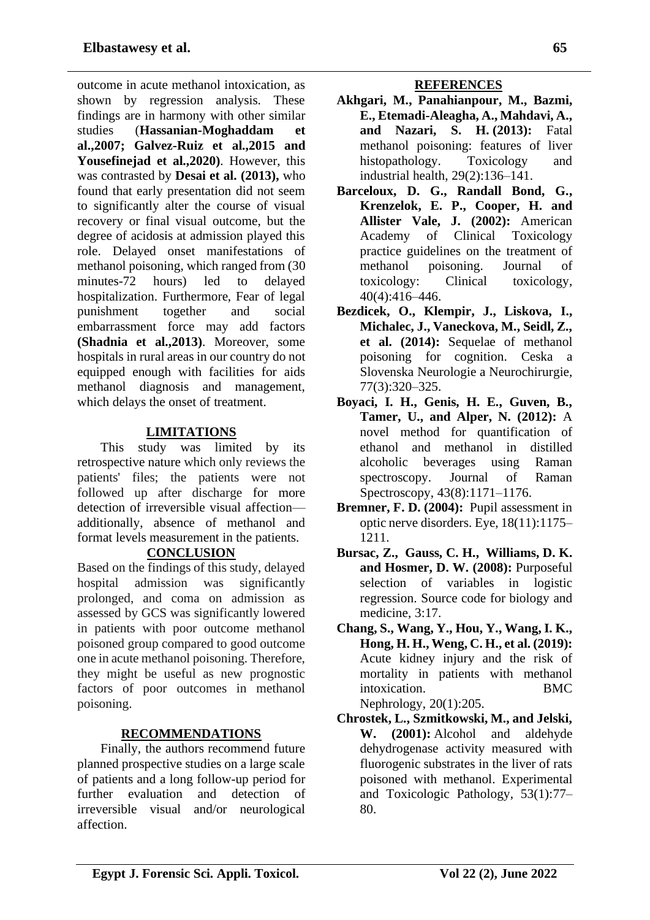outcome in acute methanol intoxication, as shown by regression analysis. These findings are in harmony with other similar studies (**Hassanian-Moghaddam et al.,2007; Galvez-Ruiz et al.,2015 and Yousefinejad et al.,2020)**. However, this was contrasted by **Desai et al. (2013),** who found that early presentation did not seem to significantly alter the course of visual recovery or final visual outcome, but the degree of acidosis at admission played this role. Delayed onset manifestations of methanol poisoning, which ranged from (30 minutes-72 hours) led to delayed hospitalization. Furthermore, Fear of legal punishment together and social embarrassment force may add factors **(Shadnia et al.,2013)**. Moreover, some hospitals in rural areas in our country do not equipped enough with facilities for aids methanol diagnosis and management, which delays the onset of treatment.

## **LIMITATIONS**

This study was limited by its retrospective nature which only reviews the patients' files; the patients were not followed up after discharge for more detection of irreversible visual affection additionally, absence of methanol and format levels measurement in the patients.

### **CONCLUSION**

Based on the findings of this study, delayed hospital admission was significantly prolonged, and coma on admission as assessed by GCS was significantly lowered in patients with poor outcome methanol poisoned group compared to good outcome one in acute methanol poisoning. Therefore, they might be useful as new prognostic factors of poor outcomes in methanol poisoning.

## **RECOMMENDATIONS**

Finally, the authors recommend future planned prospective studies on a large scale of patients and a long follow-up period for further evaluation and detection of irreversible visual and/or neurological affection.

### **REFERENCES**

- **Akhgari, M., Panahianpour, M., Bazmi, E., Etemadi-Aleagha, A., Mahdavi, A., and Nazari, S. H. (2013):** Fatal methanol poisoning: features of liver histopathology. Toxicology and industrial health, 29(2):136–141.
- **Barceloux, D. G., Randall Bond, G., Krenzelok, E. P., Cooper, H. and Allister Vale, J. (2002):** American Academy of Clinical Toxicology practice guidelines on the treatment of methanol poisoning. Journal of toxicology: Clinical toxicology, 40(4):416–446.
- **Bezdicek, O., Klempir, J., Liskova, I., Michalec, J., Vaneckova, M., Seidl, Z., et al. (2014):** Sequelae of methanol poisoning for cognition. Ceska a Slovenska Neurologie a Neurochirurgie, 77(3):320–325.
- **Boyaci, I. H., Genis, H. E., Guven, B., Tamer, U., and Alper, N. (2012):** A novel method for quantification of ethanol and methanol in distilled alcoholic beverages using Raman spectroscopy. Journal of Raman Spectroscopy, 43(8):1171–1176.
- **Bremner, F. D. (2004):** Pupil assessment in optic nerve disorders. Eye, 18(11):1175– 1211.
- **[Bursac,](https://www.ncbi.nlm.nih.gov/pubmed/?term=Bursac%20Z%5BAuthor%5D&cauthor=true&cauthor_uid=19087314) Z., [Gauss,](https://www.ncbi.nlm.nih.gov/pubmed/?term=Gauss%20CH%5BAuthor%5D&cauthor=true&cauthor_uid=19087314) C. H., [Williams,](https://www.ncbi.nlm.nih.gov/pubmed/?term=Williams%20DK%5BAuthor%5D&cauthor=true&cauthor_uid=19087314) D. K. and Hosmer, D. W. (2008):** Purposeful selection of variables in logistic regression. Source code for biology and medicine, 3:17.
- **Chang, S., Wang, Y., Hou, Y., Wang, I. K., Hong, H. H., Weng, C. H., et al. (2019):** Acute kidney injury and the risk of mortality in patients with methanol intoxication. BMC Nephrology, 20(1):205.
- **Chrostek, L., Szmitkowski, M., and Jelski, W. (2001):** Alcohol and aldehyde dehydrogenase activity measured with fluorogenic substrates in the liver of rats poisoned with methanol. Experimental and Toxicologic Pathology, 53(1):77– 80.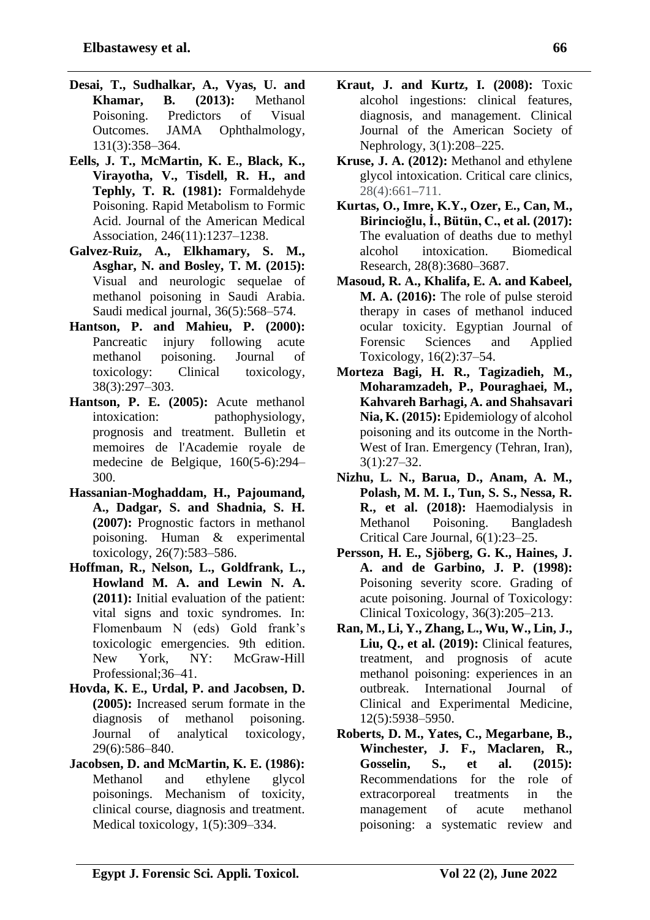- **Desai, T., Sudhalkar, A., Vyas, U. and Khamar, B. (2013):** Methanol Poisoning. Predictors of Visual Outcomes. JAMA Ophthalmology, 131(3):358–364.
- **Eells, J. T., McMartin, K. E., Black, K., Virayotha, V., Tisdell, R. H., and Tephly, T. R. (1981):** Formaldehyde Poisoning. Rapid Metabolism to Formic Acid. Journal of the American Medical Association, 246(11):1237–1238.
- **Galvez-Ruiz, A., Elkhamary, S. M., Asghar, N. and Bosley, T. M. (2015):** Visual and neurologic sequelae of methanol poisoning in Saudi Arabia. Saudi medical journal, 36(5):568–574.
- **Hantson, P. and Mahieu, P. (2000):**  Pancreatic injury following acute methanol poisoning. Journal of toxicology: Clinical toxicology, 38(3):297–303.
- **Hantson, P. E. (2005):** Acute methanol intoxication: pathophysiology, prognosis and treatment. Bulletin et memoires de l'Academie royale de medecine de Belgique, 160(5-6):294– 300.
- **Hassanian-Moghaddam, H., Pajoumand, A., Dadgar, S. and Shadnia, S. H. (2007):** Prognostic factors in methanol poisoning. Human & experimental toxicology, 26(7):583–586.
- **Hoffman, R., Nelson, L., Goldfrank, L., Howland M. A. and Lewin N. A. (2011):** Initial evaluation of the patient: vital signs and toxic syndromes. In: Flomenbaum N (eds) Gold frank's toxicologic emergencies. 9th edition. New York, NY: McGraw-Hill Professional;36–41.
- **Hovda, K. E., Urdal, P. and Jacobsen, D. (2005):** Increased serum formate in the diagnosis of methanol poisoning. Journal of analytical toxicology, 29(6):586–840.
- **Jacobsen, D. and McMartin, K. E. (1986):** Methanol and ethylene glycol poisonings. Mechanism of toxicity, clinical course, diagnosis and treatment. Medical toxicology, 1(5):309–334.
- **Kraut, J. and Kurtz, I. (2008):** Toxic alcohol ingestions: clinical features, diagnosis, and management. Clinical Journal of the American Society of Nephrology, 3(1):208–225.
- **Kruse, J. A. (2012):** Methanol and ethylene glycol intoxication. Critical care clinics, 28(4):661–711.
- **Kurtas, O., Imre, K.Y., Ozer, E., Can, M., Birincioğlu, İ., Bütün, C., et al. (2017):** The evaluation of deaths due to methyl alcohol intoxication. Biomedical Research, 28(8):3680–3687.
- **Masoud, R. A., Khalifa, E. A. and Kabeel, M. A. (2016):** The role of pulse steroid therapy in cases of methanol induced ocular toxicity. Egyptian Journal of Forensic Sciences and Applied Toxicology, 16(2):37–54.
- **Morteza Bagi, H. R., Tagizadieh, M., [Moharamzadeh,](https://www.ncbi.nlm.nih.gov/pubmed/?term=Moharamzadeh%20P%5BAuthor%5D&cauthor=true&cauthor_uid=26512366) P., Pouraghaei, M., Kahvareh Barhagi, A. and Shahsavari Nia, K. (2015):** Epidemiology of alcohol poisoning and its outcome in the North-West of Iran. Emergency (Tehran, Iran), 3(1):27–32.
- **Nizhu, L. N., Barua, D., Anam, A. M., Polash, M. M. I., Tun, S. S., Nessa, R. R., et al. (2018):** Haemodialysis in Methanol Poisoning. Bangladesh Critical Care Journal, 6(1):23–25.
- **Persson, H. E., Sjöberg, G. K., Haines, J. A. and de Garbino, J. P. (1998):** Poisoning severity score. Grading of acute poisoning. Journal of Toxicology: Clinical Toxicology, 36(3):205–213.
- **Ran, M., Li, Y., Zhang, L., Wu, W., Lin, J., Liu, Q., et al. (2019):** Clinical features, treatment, and prognosis of acute methanol poisoning: experiences in an outbreak. International Journal of Clinical and Experimental Medicine, 12(5):5938–5950.
- **Roberts, D. M., Yates, C., Megarbane, B., Winchester, J. F., Maclaren, R., Gosselin, S., et al. (2015):** Recommendations for the role of extracorporeal treatments in the management of acute methanol poisoning: a systematic review and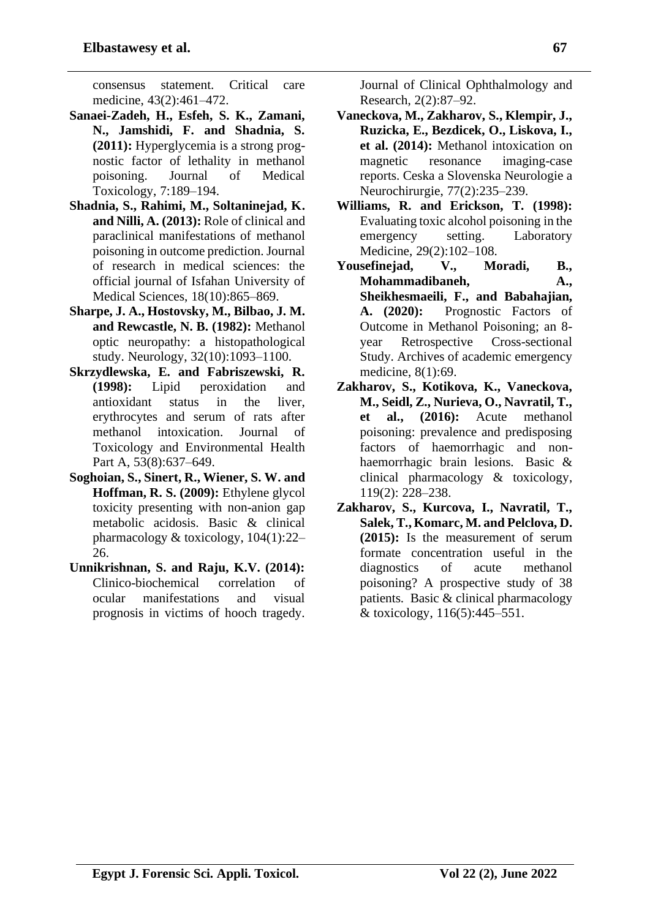consensus statement. Critical care medicine, 43(2):461–472.

- **Sanaei-Zadeh, H., Esfeh, S. K., Zamani, N., Jamshidi, F. and Shadnia, S. (2011):** Hyperglycemia is a strong prognostic factor of lethality in methanol poisoning. Journal of Medical Toxicology, 7:189–194.
- **Shadnia, S., Rahimi, M., Soltaninejad, K. and Nilli, A. (2013):** Role of clinical and paraclinical manifestations of methanol poisoning in outcome prediction. Journal of research in medical sciences: the official journal of Isfahan University of Medical Sciences, 18(10):865–869.
- **Sharpe, J. A., Hostovsky, M., Bilbao, J. M. and Rewcastle, N. B. (1982):** Methanol optic neuropathy: a histopathological study. Neurology, 32(10):1093–1100.
- **Skrzydlewska, E. and Fabriszewski, R. (1998):** Lipid peroxidation and antioxidant status in the liver, erythrocytes and serum of rats after methanol intoxication. Journal of Toxicology and Environmental Health Part A, 53(8):637–649.
- **Soghoian, S., Sinert, R., Wiener, S. W. and Hoffman, R. S. (2009):** Ethylene glycol toxicity presenting with non-anion gap metabolic acidosis. Basic & clinical pharmacology & toxicology, 104(1):22– 26.
- **Unnikrishnan, S. and Raju, K.V. (2014):** Clinico-biochemical correlation of ocular manifestations and visual prognosis in victims of hooch tragedy.

Journal of Clinical Ophthalmology and Research, 2(2):87–92.

- **Vaneckova, M., Zakharov, S., Klempir, J., Ruzicka, E., Bezdicek, O., Liskova, I., et al. (2014):** Methanol intoxication on magnetic resonance imaging-case reports. Ceska a Slovenska Neurologie a Neurochirurgie, 77(2):235–239.
- **Williams, R. and Erickson, T. (1998):** Evaluating toxic alcohol poisoning in the emergency setting. Laboratory Medicine, 29(2):102–108.
- **Yousefinejad, V., Moradi, B., Mohammadibaneh, A., Sheikhesmaeili, F., and Babahajian, A. (2020):** Prognostic Factors of Outcome in Methanol Poisoning; an 8 year Retrospective Cross-sectional Study. Archives of academic emergency medicine, 8(1):69.
- **Zakharov, S., Kotikova, K., Vaneckova, M., Seidl, Z., Nurieva, O., Navratil, T., et al., (2016):** Acute methanol poisoning: prevalence and predisposing factors of haemorrhagic and nonhaemorrhagic brain lesions. Basic & clinical pharmacology & toxicology, 119(2): 228–238.
- **Zakharov, S., Kurcova, I., Navratil, T., Salek, T., Komarc, M. and Pelclova, D. (2015):** Is the measurement of serum formate concentration useful in the diagnostics of acute methanol poisoning? A prospective study of 38 patients. Basic & clinical pharmacology & toxicology, 116(5):445–551.